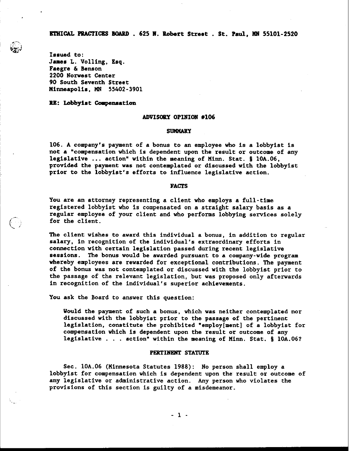**ETHICAL PPACTICBS BOARD** . **625 A. Robert Street** . **St. Paul, n# 55101-2520** 

**Issued to: James L. Volling, Esq. Faegre** & **Benson 2200 Norwest Center 90 South Seventh Street ninncapolis, n~ 55402-3901** 

**d-G&\$** 

 $(\ \cdot \ )$ 

RE: Lobbyist Compensation

### ADVISORY OPINION #106

#### **SUMMARY**

**106. A company's payment of a bonus to an employee who is a lobbyist is not a "compensation which is dependent upon the result or outcome of any legislative** ... **action" within the meaning of Ninn. Stat. 5 10A.06, provided the payment was not contemplated or discussed with the lobbyist prior to the lobbyist's efforts to influence legislative action.** 

# **FACTS**

**You are an attorney representing a client who employs a full-time registered lobbyist who is compensated on a straight salary basis as a regular employee of your client and who performs lobbying services solely**  for the client.

**The client wishes to award this individual a bonus, in addition to regular salary, in recognition of the individual's extraordinary efforts in connection with certain legislation passed during recent legislative sessions. The bonus would be awarded pursuant to a company-wide program whereby employees are rewarded for exceptional contributions. The payment of the bonus was not contemplated or discussed with the lobbyist prior to the passage of the relevant legislation, but was proposed only afterwards in recognition of the individual's superior achievements.** 

**You ask the Board to answer this question:** 

**Would the payment of such a bonus, which was neither contemplated nor discussed with the lobbyist prior to the passage of the pertinent legislation, constitute the prohibited "employ[ment] of a lobbyist for compensation which is dependent upon the result or outcome of any legislative** . . . **action" within the meaning of Ninn. Stat. S 10A.061** 

#### **PERTINENT STATUTE**

**Sec. lOA.06 (Minnesota Statutes 1988): No person shall employ a lobbyist for compensation which is dependent upon the result or outcome of any legislative or administrative action. Any person who violates the provisions of this section is guilty of a misdemeanor.**